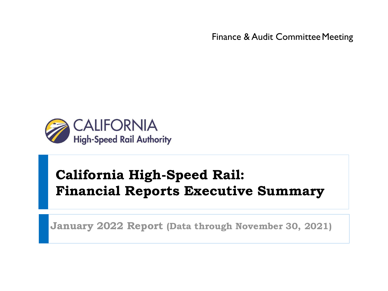Finance & Audit Committee Meeting



# **California High-Speed Rail: Financial Reports Executive Summary**

**January 2022 Report (Data through November 30, 2021)**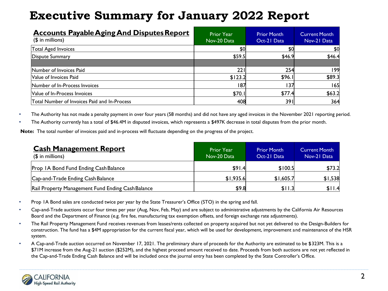| <b>Accounts Payable Aging And Disputes Report</b><br>$($$ in millions) | <b>Prior Year</b><br>Nov-20 Data | <b>Prior Month</b><br>Oct-21 Data | Current Month<br>Nov-21 Data |
|------------------------------------------------------------------------|----------------------------------|-----------------------------------|------------------------------|
| Total Aged Invoices                                                    | \$0                              | \$0                               | \$0                          |
| Dispute Summary                                                        | \$59.5                           | \$46.9                            | \$46.4                       |
|                                                                        |                                  |                                   |                              |
| Number of Invoices Paid                                                | 221                              | 254                               | 199                          |
| Value of Invoices Paid                                                 | \$123.2                          | \$96.1                            | \$89.3                       |
| Number of In-Process Invoices                                          | 187                              | 137                               | 165                          |
| Value of In-Process Invoices                                           | \$70.1                           | \$77.4                            | \$63.2                       |
| Total Number of Invoices Paid and In-Process                           | 408                              | 391                               | 364                          |

• The Authority has not made a penalty payment in over four years (58 months) and did not have any aged invoices in the November 2021 reporting period.

• The Authority currently has a total of \$46.4M in disputed invoices, which represents a \$497K decrease in total disputes from the prior month.

**Note:** The total number of invoices paid and in-process will fluctuate depending on the progress of the project.

| <b>Cash Management Report</b><br>$($$ in millions) | <b>Prior Year</b><br>Nov-20 Data | <b>Prior Month</b><br>Oct-21 Data | <b>Current Month</b><br>Nov-21 Data |
|----------------------------------------------------|----------------------------------|-----------------------------------|-------------------------------------|
| Prop IA Bond Fund Ending Cash Balance              | \$91.4                           | \$100.5                           | \$73.2                              |
| Cap-and-Trade Ending Cash Balance                  | \$1,935.6                        | \$1,605.7                         | \$1,538                             |
| Rail Property Management Fund Ending Cash Balance  | \$9.8                            | \$11.3                            | \$11.4                              |

- Prop 1A Bond sales are conducted twice per year by the State Treasurer's Office (STO) in the spring and fall.
- Cap-and-Trade auctions occur four times per year (Aug, Nov, Feb, May) and are subject to administrative adjustments by the California Air Resources Board and the Department of Finance (e.g. fire fee, manufacturing tax exemption offsets, and foreign exchange rate adjustments).
- The Rail Property Management Fund receives revenues from leases/rents collected on property acquired but not yet delivered to the Design-Builders for construction. The fund has a \$4M appropriation for the current fiscal year, which will be used for development, improvement and maintenance of the HSR system.
- A Cap-and-Trade auction occurred on November 17, 2021. The preliminary share of proceeds for the Authority are estimated to be \$323M. This is a \$71M increase from the Aug-21 auction (\$252M), and the highest proceed amount received to date. Proceeds from both auctions are not yet reflected in the Cap-and-Trade Ending Cash Balance and will be included once the journal entry has been completed by the State Controller's Office.

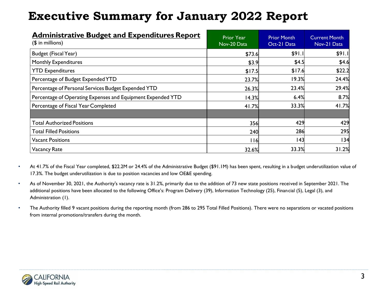| <b>Administrative Budget and Expenditures Report</b><br>$($$ in millions) | <b>Prior Year</b><br>Nov-20 Data | <b>Prior Month</b><br>Oct-21 Data | <b>Current Month</b><br>Nov-21 Data |
|---------------------------------------------------------------------------|----------------------------------|-----------------------------------|-------------------------------------|
| <b>Budget (Fiscal Year)</b>                                               | \$73.6                           | \$91.1                            | \$91.1                              |
| <b>Monthly Expenditures</b>                                               | \$3.9                            | \$4.5                             | \$4.6                               |
| <b>YTD Expenditures</b>                                                   | \$17.5                           | \$17.6                            | \$22.2                              |
| Percentage of Budget Expended YTD                                         | 23.7%                            | 19.3%                             | 24.4%                               |
| Percentage of Personal Services Budget Expended YTD                       | 26.3%                            | 23.4%                             | 29.4%                               |
| Percentage of Operating Expenses and Equipment Expended YTD               | 14.3%                            | 6.4%                              | 8.7%                                |
| Percentage of Fiscal Year Completed                                       | 41.7%                            | 33.3%                             | 41.7%                               |
| <b>Total Authorized Positions</b>                                         | 356                              | 429                               | 429                                 |
| <b>Total Filled Positions</b>                                             | 240                              | 286                               | 295                                 |
| Vacant Positions                                                          | l 16                             | 143                               | 34                                  |
| <b>Vacancy Rate</b>                                                       | 32.6%                            | 33.3%                             | 31.2%                               |

- At 41.7% of the Fiscal Year completed, \$22.2M or 24.4% of the Administrative Budget (\$91.1M) has been spent, resulting in a budget underutilization value of 17.3%. The budget underutilization is due to position vacancies and low OE&E spending.
- As of November 30, 2021, the Authority's vacancy rate is 31.2%, primarily due to the addition of 73 new state positions received in September 2021. The additional positions have been allocated to the following Office's: Program Delivery (39), Information Technology (25), Financial (5), Legal (3), and Administration (1).
- The Authority filled 9 vacant positions during the reporting month (from 286 to 295 Total Filled Positions). There were no separations or vacated positions from internal promotions/transfers during the month.

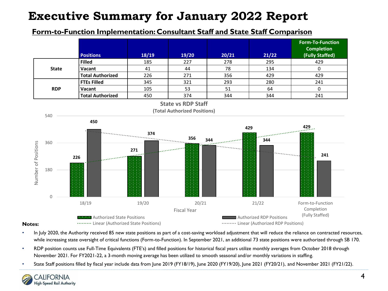### **Form-to-Function Implementation: Consultant Staff and State Staff Comparison**



- In July 2020, the Authority received 85 new state positions as part of a cost-saving workload adjustment that will reduce the reliance on contracted resources, while increasing state oversight of critical functions (Form-to-Function). In September 2021, an additional 73 state positions were authorized through SB 170.
- RDP position counts use Full-Time Equivalents (FTE's) and filled positions for historical fiscal years utilize monthly averages from October 2018 through November 2021. For FY2021-22, a 3-month moving average has been utilized to smooth seasonal and/or monthly variations in staffing.
- State Staff positions filled by fiscal year include data from June 2019 (FY18/19), June 2020 (FY19/20), June 2021 (FY20/21), and November 2021 (FY21/22).

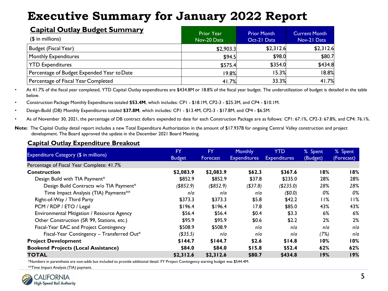| <b>Capital Outlay Budget Summary</b><br>$($$ in millions) | <b>Prior Year</b><br>Nov-20 Data | <b>Prior Month</b><br>Oct-21 Data | <b>Current Month</b><br>Nov-21 Data |
|-----------------------------------------------------------|----------------------------------|-----------------------------------|-------------------------------------|
| Budget (Fiscal Year)                                      | \$2,903.3                        | \$2,312.6                         | \$2,312.6                           |
| <b>Monthly Expenditures</b>                               | \$94.5                           | \$98.0                            | \$80.7                              |
| <b>YTD Expenditures</b>                                   | \$575.4                          | \$354.0                           | \$434.8                             |
| Percentage of Budget Expended Year to Date                | 19.8%                            | 15.3%                             | 18.8%                               |
| Percentage of Fiscal Year Completed                       | 41.7%                            | 33.3%                             | 41.7%                               |

• At 41.7% of the fiscal year completed, YTD Capital Outlay expenditures are \$434.8M or 18.8% of the fiscal year budget. The underutilization of budget is detailed in the table below.

• Construction Package Monthly Expenditures totaled **\$53.4M**, which includes: CP1 - \$18.1M, CP2-3 - \$25.3M, and CP4 - \$10.1M.

• Design-Build (DB) Monthly Expenditures totaled **\$37.8M**, which includes: CP1 - \$13.4M, CP2-3 - \$17.8M, and CP4 - \$6.5M.

• As of November 30, 2021, the percentage of DB contract dollars expended to date for each Construction Package are as follows: CP1: 67.1%, CP2-3: 67.8%, and CP4: 76.1%.

#### **Capital Outlay Expenditure Breakout**

|                                            | <b>FY</b>     | <b>FY</b>    | <b>Monthly</b>      | <b>YTD</b>          | % Spent  | % Spent    |
|--------------------------------------------|---------------|--------------|---------------------|---------------------|----------|------------|
| Expenditure Category (\$ in millions)      | <b>Budget</b> | Forecast     | <b>Expenditures</b> | <b>Expenditures</b> | (Budget) | (Forecast) |
| Percentage of Fiscal Year Complete: 41.7%  |               |              |                     |                     |          |            |
| <b>Construction</b>                        | \$2,083.9     | \$2,083.9    | \$62.3              | \$367.6             | 18%      | 18%        |
| Design Build with TIA Payment*             | \$852.9       | \$852.9      | \$37.8              | \$235.0             | 28%      | 28%        |
| Design Build Contracts w/o TIA Payment*    | $($ \$852.9)  | $($ \$852.9) | ( \$37.8)           | (\$235.0)           | 28%      | 28%        |
| Time Impact Analysis (TIA) Payments**      | n/a           | n/a          | nla                 | (\$0.0)             | 0%       | 0%         |
| Right-of-Way / Third Party                 | \$373.3       | \$373.3      | \$5.8               | \$42.2              | 11%      | 11%        |
| PCM / RDP / ETO / Legal                    | \$196.4       | \$196.4      | 17.8                | \$85.0              | 43%      | 43%        |
| Environmental Mitigation / Resource Agency | \$56.4        | \$56.4       | \$0.4               | \$3.3               | 6%       | 6%         |
| Other Construction (SR 99, Stations, etc.) | \$95.9        | \$95.9       | \$0.6               | \$2.2               | 2%       | 2%         |
| Fiscal-Year EAC and Project Contingency    | \$508.9       | \$508.9      | nla                 | n/a                 | n/a      | n/a        |
| Fiscal-Year Contingency - Transferred Out* | ( \$35.5)     | n/a          | nla                 | n/a                 | (7%)     | n/a        |
| <b>Project Development</b>                 | \$144.7       | \$144.7      | \$2.6               | \$14.8              | 10%      | 10%        |
| <b>Bookend Projects (Local Assistance)</b> | \$84.0        | \$84.0       | \$15.8              | \$52.4              | 62%      | 62%        |
| <b>TOTAL</b>                               | \$2,312.6     | \$2,312.6    | \$80.7              | \$434.8             | 19%      | 19%        |

\*Numbers in parenthesis are non-adds but included to provide additional detail. FY Project Contingency starting budget was \$544.4M.

\*\*Time Impact Analysis (TIA) payment.



**Note:** The Capital Outlay detail report includes a new Total Expenditure Authorization in the amount of \$17.937B for ongoing Central Valley construction and project development. The Board approved the update in the December 2021 Board Meeting.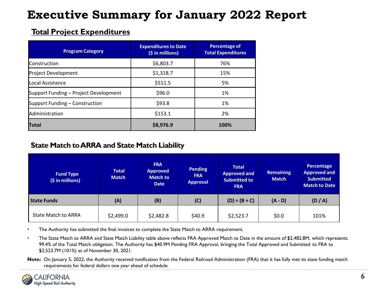### **Total Project Expenditures**

| <b>Program Category</b>               | <b>Expenditures to Date</b><br>(\$ in millions) | Percentage of<br><b>Total Expenditures</b> |
|---------------------------------------|-------------------------------------------------|--------------------------------------------|
| <b>Construction</b>                   | \$6,803.7                                       | 76%                                        |
| Project Development                   | \$1,318.7                                       | 15%                                        |
| lLocal Assistance                     | \$511.5                                         | 5%                                         |
| Support Funding - Project Development | \$96.0                                          | 1%                                         |
| Support Funding – Construction        | \$93.8                                          | 1%                                         |
| Administration                        | \$153.1                                         | 2%                                         |
| <b>Total</b>                          | \$8,976.9                                       | 100%                                       |

### **State Match to ARRA and State Match Liability**

| <b>Fund Type</b><br>(\$ in millions) | <b>Total</b><br><b>Match</b> | <b>FRA</b><br><b>Approved</b><br><b>Match to</b><br><b>Date</b> | <b>Pending</b><br><b>FRA</b><br><b>Approval</b> | <b>Total</b><br><b>Approved and</b><br><b>Submitted to</b><br><b>FRA</b> | <b>Remaining</b><br><b>Match</b> | Percentage<br><b>Approved and</b><br><b>Submitted</b><br><b>Match to Date</b> |
|--------------------------------------|------------------------------|-----------------------------------------------------------------|-------------------------------------------------|--------------------------------------------------------------------------|----------------------------------|-------------------------------------------------------------------------------|
| <b>State Funds</b>                   | (A)                          | (B)                                                             | (C)                                             | $(D) = (B + C)$                                                          | $(A - D)$                        | (D/A)                                                                         |
| <b>State Match to ARRA</b>           | \$2,499.0                    | \$2,482.8                                                       | \$40.9                                          | \$2,523.7                                                                | \$0.0                            | 101%                                                                          |

• The Authority has submitted the final invoices to complete the State Match to ARRA requirement.

• The State Match to ARRA and State Match Liability table above reflects FRA Approved Match to Date in the amount of \$2,482.8M, which represents 99.4% of the Total Match obligation. The Authority has \$40.9M Pending FRA Approval, bringing the Total Approved and Submitted to FRA to \$2,523.7M (101%) as of November 30, 2021.

**Note:** On January 5, 2022, the Authority received notification from the Federal Railroad Administration (FRA) that it has fully met its state funding match requirements for federal dollars one year ahead of schedule.

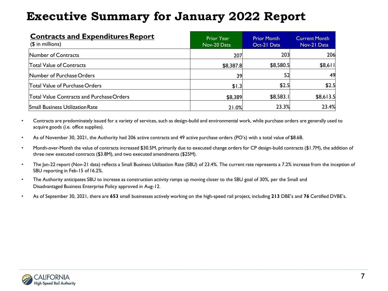| <b>Contracts and Expenditures Report</b><br>$($$ in millions) | <b>Prior Year</b><br>Nov-20 Data | <b>Prior Month</b><br>Oct-21 Data | <b>Current Month</b><br>Nov-21 Data |
|---------------------------------------------------------------|----------------------------------|-----------------------------------|-------------------------------------|
| Number of Contracts                                           | 207                              | 203                               | 206                                 |
| Total Value of Contracts                                      | \$8,387.8                        | \$8,580.5                         | \$8,611                             |
| Number of Purchase Orders                                     | 39                               | 52                                | 49                                  |
| Total Value of Purchase Orders                                | \$1.3                            | \$2.5                             | \$2.5                               |
| Total Value Contracts and Purchase Orders                     | \$8,389                          | \$8,583.1                         | \$8,613.5                           |
| <b>Small Business Utilization Rate</b>                        | 21.0%                            | 23.3%                             | 23.4%                               |

- Contracts are predominately issued for a variety of services, such as design-build and environmental work, while purchase orders are generally used to acquire goods (i.e. office supplies).
- As of November 30, 2021, the Authority had 206 active contracts and 49 active purchase orders (PO's) with a total value of \$8.6B.
- Month-over-Month the value of contracts increased \$30.5M, primarily due to executed change orders for CP design-build contracts (\$1.7M), the addition of three new executed contracts (\$3.8M), and two executed amendments (\$25M).
- The Jan-22 report (Nov-21 data) reflects a Small Business Utilization Rate (SBU) of 23.4%. The current rate represents a 7.2% increase from the inception of SBU reporting in Feb-15 of 16.2%.
- The Authority anticipates SBU to increase as construction activity ramps up moving closer to the SBU goal of 30%, per the Small and Disadvantaged Business Enterprise Policy approved in Aug-12.
- As of September 30, 2021, there are **653** small businesses actively working on the high-speed rail project, including **213** DBE's and **76** Certified DVBE's.